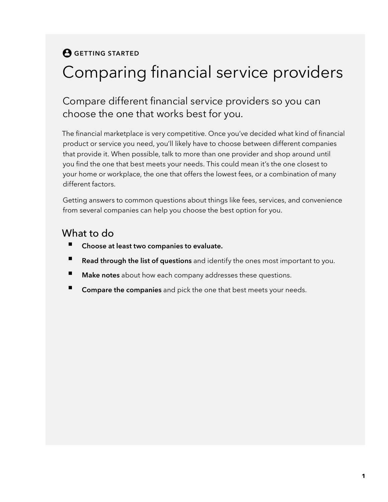#### **A** GETTING STARTED

# Comparing financial service providers

#### Compare different financial service providers so you can choose the one that works best for you.

The financial marketplace is very competitive. Once you've decided what kind of financial product or service you need, you'll likely have to choose between different companies that provide it. When possible, talk to more than one provider and shop around until you find the one that best meets your needs. This could mean it's the one closest to your home or workplace, the one that offers the lowest fees, or a combination of many different factors.

Getting answers to common questions about things like fees, services, and convenience from several companies can help you choose the best option for you.

#### What to do

- **Choose at least two companies to evaluate.**
- **Read through the list of questions** and identify the ones most important to you.
- **Make notes** about how each company addresses these questions.
- **Compare the companies** and pick the one that best meets your needs.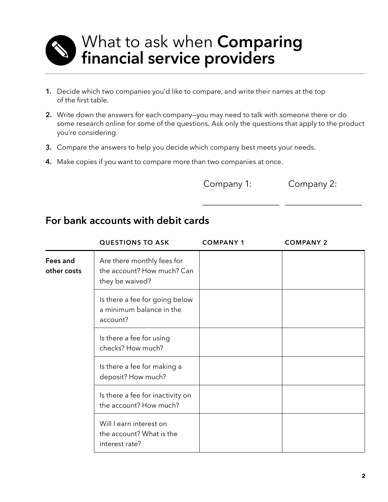

# What to ask when **Comparing financial service providers**.

- **1.** Decide which two companies you'd like to compare, and write their names at the top of the first table.
- **2.** Write down the answers for each company—you may need to talk with someone there or do some research online for some of the questions. Ask only the questions that apply to the product you're considering.
- **3.** Compare the answers to help you decide which company best meets your needs.
- **4.** Make copies if you want to compare more than two companies at once.

Company 1: Company 2:

#### **For bank accounts with debit cards**

|                         | <b>QUESTIONS TO ASK</b>                                                     | <b>COMPANY 1</b> | <b>COMPANY 2</b> |
|-------------------------|-----------------------------------------------------------------------------|------------------|------------------|
| Fees and<br>other costs | Are there monthly fees for<br>the account? How much? Can<br>they be waived? |                  |                  |
|                         | Is there a fee for going below<br>a minimum balance in the<br>account?      |                  |                  |
|                         | Is there a fee for using<br>checks? How much?                               |                  |                  |
|                         | Is there a fee for making a<br>deposit? How much?                           |                  |                  |
|                         | Is there a fee for inactivity on<br>the account? How much?                  |                  |                  |
|                         | Will I earn interest on<br>the account? What is the<br>interest rate?       |                  |                  |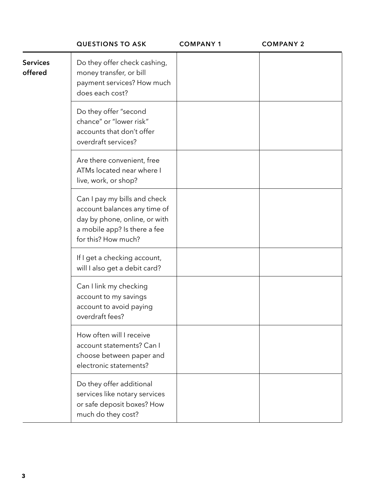|                            | <b>QUESTIONS TO ASK</b>                                                                                                                              | <b>COMPANY 1</b> | <b>COMPANY 2</b> |
|----------------------------|------------------------------------------------------------------------------------------------------------------------------------------------------|------------------|------------------|
| <b>Services</b><br>offered | Do they offer check cashing,<br>money transfer, or bill<br>payment services? How much<br>does each cost?                                             |                  |                  |
|                            | Do they offer "second<br>chance" or "lower risk"<br>accounts that don't offer<br>overdraft services?                                                 |                  |                  |
|                            | Are there convenient, free<br>ATMs located near where I<br>live, work, or shop?                                                                      |                  |                  |
|                            | Can I pay my bills and check<br>account balances any time of<br>day by phone, online, or with<br>a mobile app? Is there a fee<br>for this? How much? |                  |                  |
|                            | If I get a checking account,<br>will I also get a debit card?                                                                                        |                  |                  |
|                            | Can I link my checking<br>account to my savings<br>account to avoid paying<br>overdraft fees?                                                        |                  |                  |
|                            | How often will I receive<br>account statements? Can I<br>choose between paper and<br>electronic statements?                                          |                  |                  |
|                            | Do they offer additional<br>services like notary services<br>or safe deposit boxes? How<br>much do they cost?                                        |                  |                  |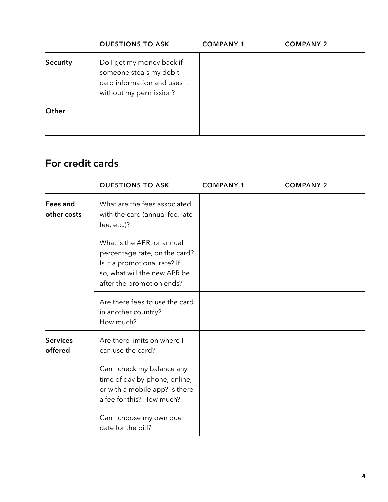|          | <b>QUESTIONS TO ASK</b>                                                                                        | <b>COMPANY 1</b> | <b>COMPANY 2</b> |
|----------|----------------------------------------------------------------------------------------------------------------|------------------|------------------|
| Security | Do I get my money back if<br>someone steals my debit<br>card information and uses it<br>without my permission? |                  |                  |
| Other    |                                                                                                                |                  |                  |

#### **For credit cards**

|                            | <b>QUESTIONS TO ASK</b>                                                                                                                                  | <b>COMPANY 1</b> | <b>COMPANY 2</b> |  |
|----------------------------|----------------------------------------------------------------------------------------------------------------------------------------------------------|------------------|------------------|--|
| Fees and<br>other costs    | What are the fees associated<br>with the card (annual fee, late<br>fee, etc.)?                                                                           |                  |                  |  |
|                            | What is the APR, or annual<br>percentage rate, on the card?<br>Is it a promotional rate? If<br>so, what will the new APR be<br>after the promotion ends? |                  |                  |  |
|                            | Are there fees to use the card<br>in another country?<br>How much?                                                                                       |                  |                  |  |
| <b>Services</b><br>offered | Are there limits on where I<br>can use the card?                                                                                                         |                  |                  |  |
|                            | Can I check my balance any<br>time of day by phone, online,<br>or with a mobile app? Is there<br>a fee for this? How much?                               |                  |                  |  |
|                            | Can I choose my own due<br>date for the bill?                                                                                                            |                  |                  |  |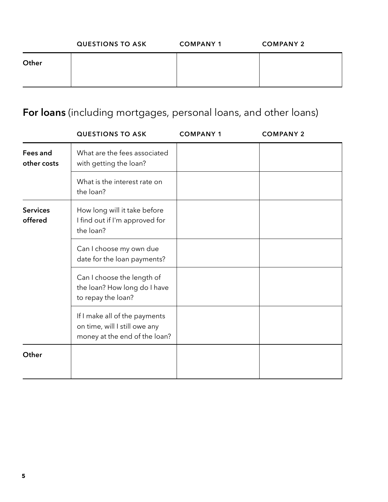|       | <b>QUESTIONS TO ASK</b> | <b>COMPANY 1</b> | <b>COMPANY 2</b> |
|-------|-------------------------|------------------|------------------|
| Other |                         |                  |                  |

# **For loans** (including mortgages, personal loans, and other loans)

|                            | <b>QUESTIONS TO ASK</b>                                                                         | <b>COMPANY 1</b> | <b>COMPANY 2</b> |
|----------------------------|-------------------------------------------------------------------------------------------------|------------------|------------------|
| Fees and<br>other costs    | What are the fees associated<br>with getting the loan?                                          |                  |                  |
|                            | What is the interest rate on<br>the loan?                                                       |                  |                  |
| <b>Services</b><br>offered | How long will it take before<br>I find out if I'm approved for<br>the loan?                     |                  |                  |
|                            | Can I choose my own due<br>date for the loan payments?                                          |                  |                  |
|                            | Can I choose the length of<br>the loan? How long do I have<br>to repay the loan?                |                  |                  |
|                            | If I make all of the payments<br>on time, will I still owe any<br>money at the end of the loan? |                  |                  |
| Other                      |                                                                                                 |                  |                  |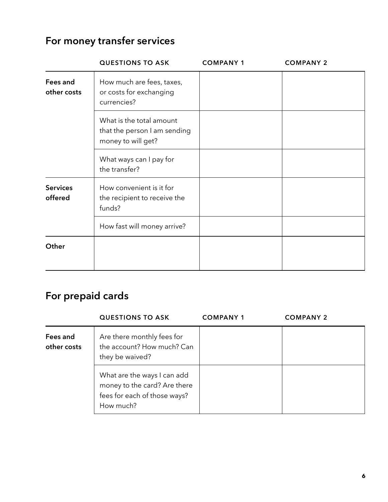## **For money transfer services**

|                            | <b>QUESTIONS TO ASK</b>                                                        | <b>COMPANY 1</b> | <b>COMPANY 2</b> |
|----------------------------|--------------------------------------------------------------------------------|------------------|------------------|
| Fees and<br>other costs    | How much are fees, taxes,<br>or costs for exchanging<br>currencies?            |                  |                  |
|                            | What is the total amount<br>that the person I am sending<br>money to will get? |                  |                  |
|                            | What ways can I pay for<br>the transfer?                                       |                  |                  |
| <b>Services</b><br>offered | How convenient is it for<br>the recipient to receive the<br>funds?             |                  |                  |
|                            | How fast will money arrive?                                                    |                  |                  |
| Other                      |                                                                                |                  |                  |

# **For prepaid cards**

|                         | <b>QUESTIONS TO ASK</b>                                                                                  | <b>COMPANY 1</b> | <b>COMPANY 2</b> |
|-------------------------|----------------------------------------------------------------------------------------------------------|------------------|------------------|
| Fees and<br>other costs | Are there monthly fees for<br>the account? How much? Can<br>they be waived?                              |                  |                  |
|                         | What are the ways I can add<br>money to the card? Are there<br>fees for each of those ways?<br>How much? |                  |                  |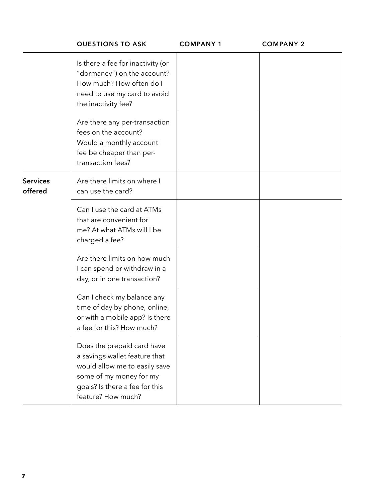|                            | <b>QUESTIONS TO ASK</b>                                                                                                                                                         | <b>COMPANY 1</b> | <b>COMPANY 2</b> |
|----------------------------|---------------------------------------------------------------------------------------------------------------------------------------------------------------------------------|------------------|------------------|
|                            | Is there a fee for inactivity (or<br>"dormancy") on the account?<br>How much? How often do I<br>need to use my card to avoid<br>the inactivity fee?                             |                  |                  |
|                            | Are there any per-transaction<br>fees on the account?<br>Would a monthly account<br>fee be cheaper than per-<br>transaction fees?                                               |                  |                  |
| <b>Services</b><br>offered | Are there limits on where I<br>can use the card?                                                                                                                                |                  |                  |
|                            | Can I use the card at ATMs<br>that are convenient for<br>me? At what ATMs will I be<br>charged a fee?                                                                           |                  |                  |
|                            | Are there limits on how much<br>I can spend or withdraw in a<br>day, or in one transaction?                                                                                     |                  |                  |
|                            | Can I check my balance any<br>time of day by phone, online,<br>or with a mobile app? Is there<br>a fee for this? How much?                                                      |                  |                  |
|                            | Does the prepaid card have<br>a savings wallet feature that<br>would allow me to easily save<br>some of my money for my<br>goals? Is there a fee for this<br>feature? How much? |                  |                  |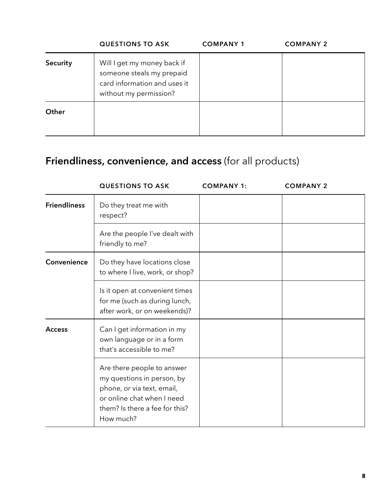|          | <b>QUESTIONS TO ASK</b>                                                                                            | <b>COMPANY 1</b> | <b>COMPANY 2</b> |
|----------|--------------------------------------------------------------------------------------------------------------------|------------------|------------------|
| Security | Will I get my money back if<br>someone steals my prepaid<br>card information and uses it<br>without my permission? |                  |                  |
| Other    |                                                                                                                    |                  |                  |

## **Friendliness, convenience, and access** (for all products)

|                     | <b>QUESTIONS TO ASK</b>                                                                                                                                             | <b>COMPANY 1:</b> | <b>COMPANY 2</b> |
|---------------------|---------------------------------------------------------------------------------------------------------------------------------------------------------------------|-------------------|------------------|
| <b>Friendliness</b> | Do they treat me with<br>respect?                                                                                                                                   |                   |                  |
|                     | Are the people I've dealt with<br>friendly to me?                                                                                                                   |                   |                  |
| Convenience         | Do they have locations close<br>to where I live, work, or shop?                                                                                                     |                   |                  |
|                     | Is it open at convenient times<br>for me (such as during lunch,<br>after work, or on weekends)?                                                                     |                   |                  |
| <b>Access</b>       | Can I get information in my<br>own language or in a form<br>that's accessible to me?                                                                                |                   |                  |
|                     | Are there people to answer<br>my questions in person, by<br>phone, or via text, email,<br>or online chat when I need<br>them? Is there a fee for this?<br>How much? |                   |                  |